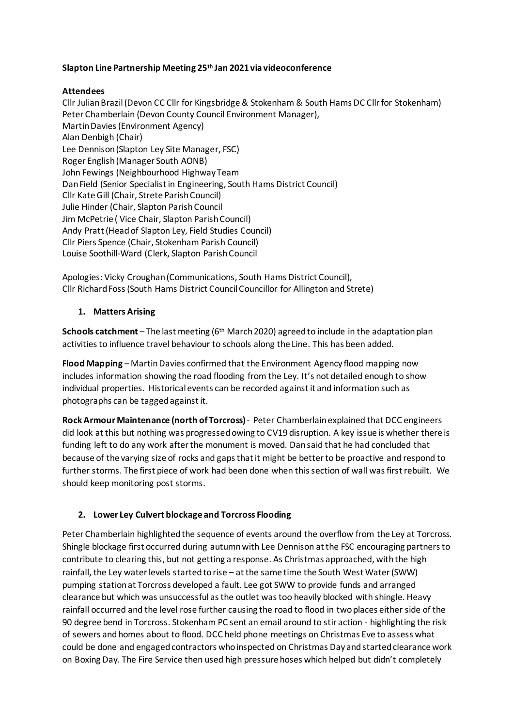### **Slapton Line Partnership Meeting 25th Jan 2021 via videoconference**

### **Attendees**

Cllr Julian Brazil (Devon CC Cllr for Kingsbridge & Stokenham & South Hams DC Cllr for Stokenham) Peter Chamberlain (Devon County Council Environment Manager), Martin Davies (Environment Agency) Alan Denbigh (Chair) Lee Dennison (Slapton Ley Site Manager, FSC) Roger English (Manager South AONB) John Fewings (Neighbourhood Highway Team Dan Field (Senior Specialist in Engineering, South Hams District Council) Cllr Kate Gill (Chair, Strete Parish Council) Julie Hinder (Chair, Slapton Parish Council Jim McPetrie ( Vice Chair, Slapton Parish Council) Andy Pratt (Head of Slapton Ley, Field Studies Council) Cllr Piers Spence (Chair, Stokenham Parish Council) Louise Soothill-Ward (Clerk, Slapton Parish Council

Apologies: Vicky Croughan (Communications, South Hams District Council), Cllr Richard Foss (South Hams District Council Councillor for Allington and Strete)

## **1. Matters Arising**

**Schools catchment** – The last meeting (6th March 2020) agreed to include in the adaptation plan activities to influence travel behaviour to schools along the Line. This has been added.

**Flood Mapping** – Martin Davies confirmed that the Environment Agency flood mapping now includes information showing the road flooding from the Ley. It's not detailed enough to show individual properties. Historical events can be recorded against it and information such as photographs can be tagged against it.

**Rock Armour Maintenance (north of Torcross)**- Peter Chamberlain explained that DCC engineers did look at this but nothing was progressed owing to CV19 disruption. A key issue is whether there is funding left to do any work after the monument is moved. Dan said that he had concluded that because of the varying size of rocks and gaps that it might be better to be proactive and respond to further storms. The first piece of work had been done when this section of wall was first rebuilt. We should keep monitoring post storms.

# **2. Lower Ley Culvert blockage and Torcross Flooding**

Peter Chamberlain highlighted the sequence of events around the overflow from the Ley at Torcross. Shingle blockage first occurred during autumn with Lee Dennison at the FSC encouraging partners to contribute to clearing this, but not getting a response. As Christmas approached, with the high rainfall, the Ley water levels started to rise – at the same time the South West Water (SWW) pumping station at Torcross developed a fault. Lee got SWW to provide funds and arranged clearance but which was unsuccessful as the outlet was too heavily blocked with shingle. Heavy rainfall occurred and the level rose further causing the road to flood in two places either side of the 90 degree bend in Torcross. Stokenham PC sent an email around to stir action - highlighting the risk of sewers and homes about to flood. DCC held phone meetings on Christmas Eve to assess what could be done and engaged contractors who inspected on Christmas Day and started clearance work on Boxing Day. The Fire Service then used high pressure hoses which helped but didn't completely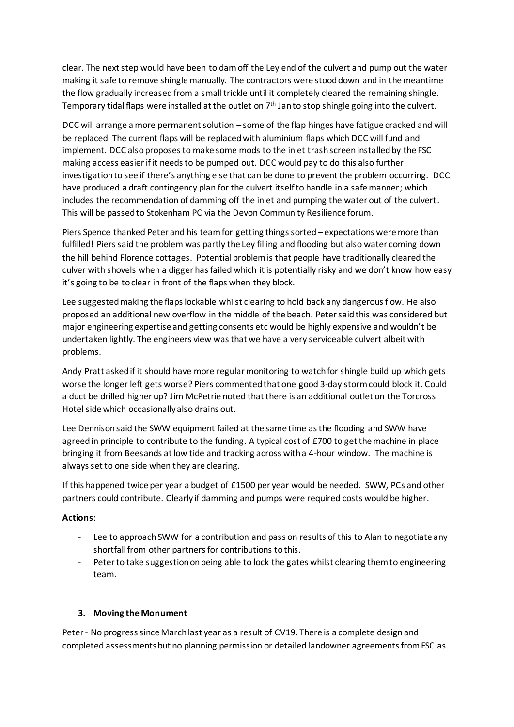clear. The next step would have been to dam off the Ley end of the culvert and pump out the water making it safe to remove shingle manually. The contractors were stood down and in the meantime the flow gradually increased from a small trickle until it completely cleared the remaining shingle. Temporary tidal flaps were installed at the outlet on 7<sup>th</sup> Jan to stop shingle going into the culvert.

DCC will arrange a more permanent solution – some of the flap hinges have fatigue cracked and will be replaced. The current flaps will be replaced with aluminium flaps which DCC will fund and implement. DCC also proposes to make some mods to the inlet trash screen installed by the FSC making access easier if it needs to be pumped out. DCC would pay to do this also further investigation to see if there's anything else that can be done to prevent the problem occurring. DCC have produced a draft contingency plan for the culvert itself to handle in a safe manner; which includes the recommendation of damming off the inlet and pumping the water out of the culvert. This will be passed to Stokenham PC via the Devon Community Resilience forum.

Piers Spence thanked Peter and his team for getting things sorted – expectations were more than fulfilled! Piers said the problem was partly the Ley filling and flooding but also water coming down the hill behind Florence cottages. Potential problem is that people have traditionally cleared the culver with shovels when a digger has failed which it is potentially risky and we don't know how easy it's going to be to clear in front of the flaps when they block.

Lee suggested making the flaps lockable whilst clearing to hold back any dangerous flow. He also proposed an additional new overflow in the middle of the beach. Peter said this was considered but major engineering expertise and getting consents etc would be highly expensive and wouldn't be undertaken lightly. The engineers view was that we have a very serviceable culvert albeit with problems.

Andy Pratt asked if it should have more regular monitoring to watch for shingle build up which gets worse the longer left gets worse? Piers commentedthat one good 3-day storm could block it. Could a duct be drilled higher up? Jim McPetrie noted that there is an additional outlet on the Torcross Hotel side which occasionally also drains out.

Lee Dennison said the SWW equipment failed at the same time as the flooding and SWW have agreed in principle to contribute to the funding. A typical cost of £700 to get the machine in place bringing it from Beesands at low tide and tracking across with a 4-hour window. The machine is always set to one side when they are clearing.

If this happened twice per year a budget of £1500 per year would be needed. SWW, PCs and other partners could contribute. Clearly if damming and pumps were required costs would be higher.

### **Actions**:

- Lee to approach SWW for a contribution and pass on results of this to Alan to negotiate any shortfall from other partners for contributions to this.
- Peter to take suggestion on being able to lock the gates whilst clearing them to engineering team.

### **3. Moving the Monument**

Peter - No progress since March last year as a result of CV19. There is a complete design and completed assessmentsbut no planning permission or detailed landowner agreements from FSC as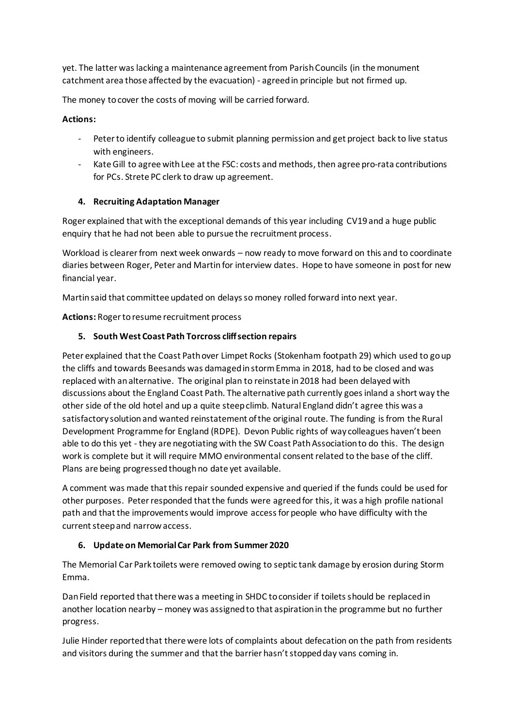yet. The latter was lacking a maintenance agreement from Parish Councils (in the monument catchment area those affected by the evacuation) - agreed in principle but not firmed up.

The money to cover the costs of moving will be carried forward.

## **Actions:**

- Peter to identify colleague to submit planning permission and get project back to live status with engineers.
- Kate Gill to agree with Lee at the FSC: costs and methods, then agree pro-rata contributions for PCs. Strete PC clerk to draw up agreement.

## **4. Recruiting Adaptation Manager**

Roger explained that with the exceptional demands of this year including CV19 and a huge public enquiry that he had not been able to pursue the recruitment process.

Workload is clearer from next week onwards – now ready to move forward on this and to coordinate diaries between Roger, Peter and Martin for interview dates. Hope to have someone in post for new financial year.

Martin said that committee updated on delays so money rolled forward into next year.

**Actions:** Roger to resume recruitment process

## **5. South West Coast Path Torcross cliff section repairs**

Peter explained that the Coast Path over Limpet Rocks (Stokenham footpath 29) which used to go up the cliffs and towards Beesands was damaged in storm Emma in 2018, had to be closed and was replaced with an alternative. The original plan to reinstate in 2018 had been delayed with discussions about the England Coast Path. The alternative path currently goes inland a short way the other side of the old hotel and up a quite steep climb. Natural England didn't agree this was a satisfactory solution and wanted reinstatement of the original route. The funding is from the Rural Development Programme for England (RDPE). Devon Public rights of way colleagues haven't been able to do this yet - they are negotiating with the SW Coast Path Association to do this. The design work is complete but it will require MMO environmental consent related to the base of the cliff. Plans are being progressed though no date yet available.

A comment was made that this repair sounded expensive and queried if the funds could be used for other purposes. Peter responded that the funds were agreed for this, it was a high profile national path and that the improvements would improve access for people who have difficulty with the current steep and narrow access.

### **6. Update on Memorial Car Park from Summer 2020**

The Memorial Car Park toilets were removed owing to septic tank damage by erosion during Storm Emma.

Dan Field reported that there was a meeting in SHDC to consider if toilets should be replaced in another location nearby – money was assigned to that aspiration in the programme but no further progress.

Julie Hinder reported that there were lots of complaints about defecation on the path from residents and visitors during the summer and that the barrier hasn't stopped day vans coming in.